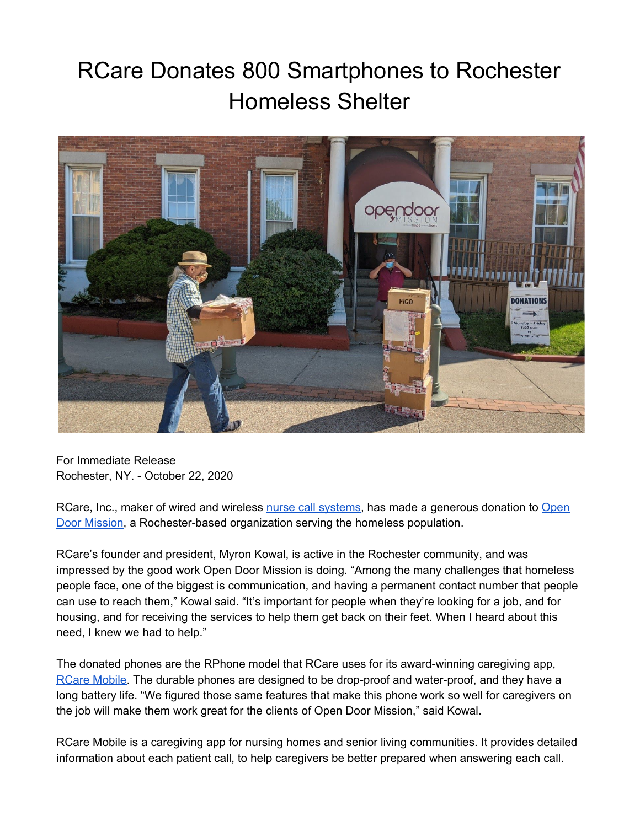## RCare Donates 800 Smartphones to Rochester Homeless Shelter



For Immediate Release Rochester, NY. - October 22, 2020

RCare, Inc., maker of wired and wireless nurse call [systems,](https://rcareinc.com/) has made a generous donation to [Open](https://opendoormission.com/) Door [Mission](https://opendoormission.com/), a Rochester-based organization serving the homeless population.

RCare's founder and president, Myron Kowal, is active in the Rochester community, and was impressed by the good work Open Door Mission is doing. "Among the many challenges that homeless people face, one of the biggest is communication, and having a permanent contact number that people can use to reach them," Kowal said. "It's important for people when they're looking for a job, and for housing, and for receiving the services to help them get back on their feet. When I heard about this need, I knew we had to help."

The donated phones are the RPhone model that RCare uses for its award-winning caregiving app, RCare [Mobile.](https://rcareinc.com/products/rcare-mobile/) The durable phones are designed to be drop-proof and water-proof, and they have a long battery life. "We figured those same features that make this phone work so well for caregivers on the job will make them work great for the clients of Open Door Mission," said Kowal.

RCare Mobile is a caregiving app for nursing homes and senior living communities. It provides detailed information about each patient call, to help caregivers be better prepared when answering each call.